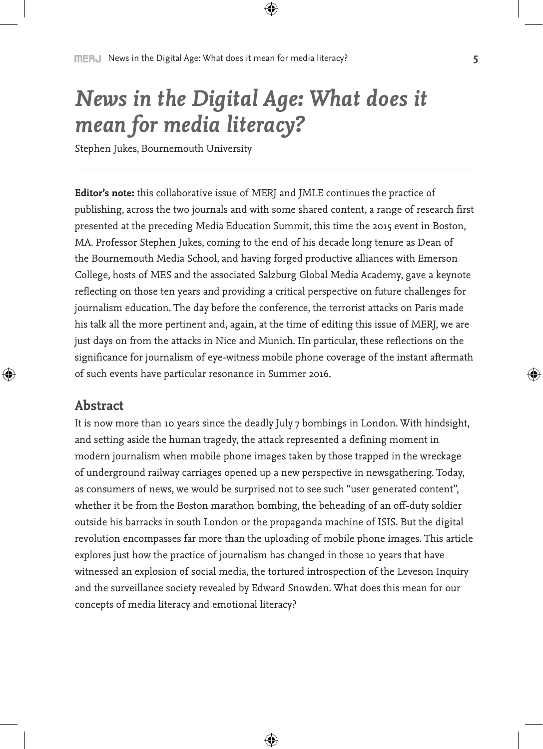# *News in the Digital Age: What does it mean for media literacy?*

Stephen Jukes, Bournemouth University

**Editor's note:** this collaborative issue of MERJ and JMLE continues the practice of publishing, across the two journals and with some shared content, a range of research first presented at the preceding Media Education Summit, this time the 2015 event in Boston, MA. Professor Stephen Jukes, coming to the end of his decade long tenure as Dean of the Bournemouth Media School, and having forged productive alliances with Emerson College, hosts of MES and the associated Salzburg Global Media Academy, gave a keynote reflecting on those ten years and providing a critical perspective on future challenges for journalism education. The day before the conference, the terrorist attacks on Paris made his talk all the more pertinent and, again, at the time of editing this issue of MERJ, we are just days on from the attacks in Nice and Munich. IIn particular, these reflections on the significance for journalism of eye-witness mobile phone coverage of the instant aftermath of such events have particular resonance in Summer 2016.

# **Abstract**

It is now more than 10 years since the deadly July 7 bombings in London. With hindsight, and setting aside the human tragedy, the attack represented a defining moment in modern journalism when mobile phone images taken by those trapped in the wreckage of underground railway carriages opened up a new perspective in newsgathering. Today, as consumers of news, we would be surprised not to see such "user generated content", whether it be from the Boston marathon bombing, the beheading of an off-duty soldier outside his barracks in south London or the propaganda machine of ISIS. But the digital revolution encompasses far more than the uploading of mobile phone images. This article explores just how the practice of journalism has changed in those 10 years that have witnessed an explosion of social media, the tortured introspection of the Leveson Inquiry and the surveillance society revealed by Edward Snowden. What does this mean for our concepts of media literacy and emotional literacy?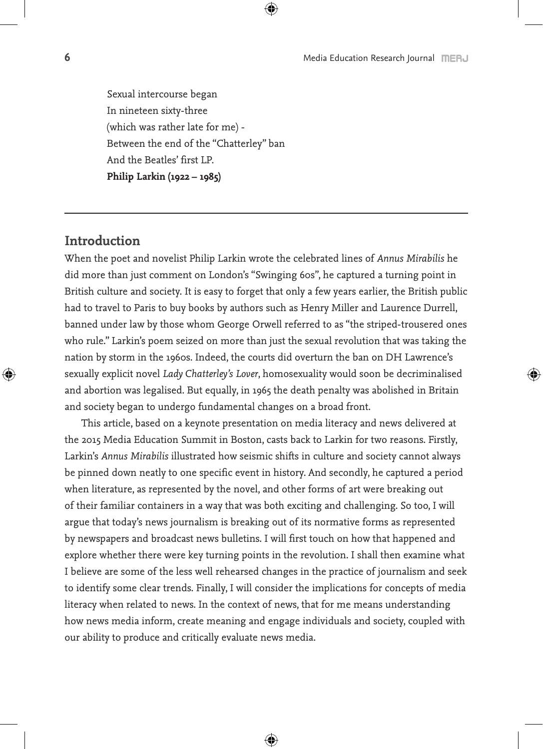Sexual intercourse began In nineteen sixty-three (which was rather late for me) - Between the end of the "Chatterley" ban And the Beatles' first LP. **Philip Larkin (1922 – 1985)**

# **Introduction**

When the poet and novelist Philip Larkin wrote the celebrated lines of *Annus Mirabilis* he did more than just comment on London's "Swinging 60s", he captured a turning point in British culture and society. It is easy to forget that only a few years earlier, the British public had to travel to Paris to buy books by authors such as Henry Miller and Laurence Durrell, banned under law by those whom George Orwell referred to as "the striped-trousered ones who rule." Larkin's poem seized on more than just the sexual revolution that was taking the nation by storm in the 1960s. Indeed, the courts did overturn the ban on DH Lawrence's sexually explicit novel *Lady Chatterley's Lover*, homosexuality would soon be decriminalised and abortion was legalised. But equally, in 1965 the death penalty was abolished in Britain and society began to undergo fundamental changes on a broad front.

This article, based on a keynote presentation on media literacy and news delivered at the 2015 Media Education Summit in Boston, casts back to Larkin for two reasons. Firstly, Larkin's *Annus Mirabilis* illustrated how seismic shifts in culture and society cannot always be pinned down neatly to one specific event in history. And secondly, he captured a period when literature, as represented by the novel, and other forms of art were breaking out of their familiar containers in a way that was both exciting and challenging. So too, I will argue that today's news journalism is breaking out of its normative forms as represented by newspapers and broadcast news bulletins. I will first touch on how that happened and explore whether there were key turning points in the revolution. I shall then examine what I believe are some of the less well rehearsed changes in the practice of journalism and seek to identify some clear trends. Finally, I will consider the implications for concepts of media literacy when related to news. In the context of news, that for me means understanding how news media inform, create meaning and engage individuals and society, coupled with our ability to produce and critically evaluate news media.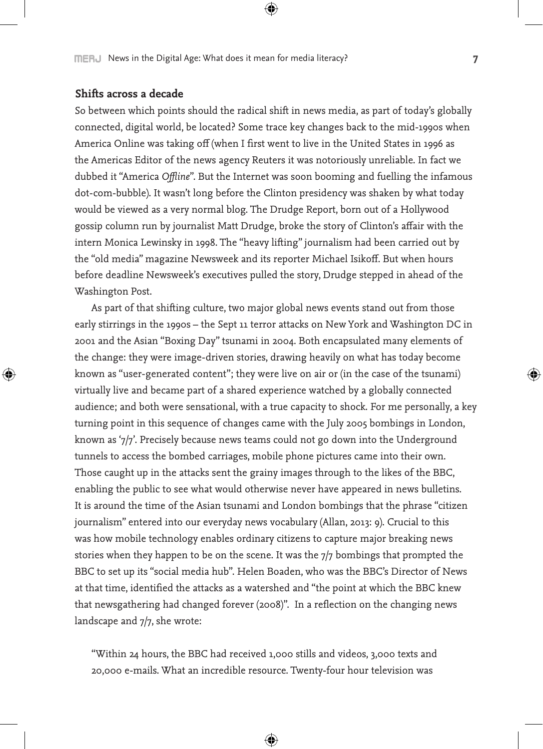## **Shifts across a decade**

So between which points should the radical shift in news media, as part of today's globally connected, digital world, be located? Some trace key changes back to the mid-1990s when America Online was taking off (when I first went to live in the United States in 1996 as the Americas Editor of the news agency Reuters it was notoriously unreliable. In fact we dubbed it "America *Offline*". But the Internet was soon booming and fuelling the infamous dot-com-bubble). It wasn't long before the Clinton presidency was shaken by what today would be viewed as a very normal blog. The Drudge Report, born out of a Hollywood gossip column run by journalist Matt Drudge, broke the story of Clinton's affair with the intern Monica Lewinsky in 1998. The "heavy lifting" journalism had been carried out by the "old media" magazine Newsweek and its reporter Michael Isikoff. But when hours before deadline Newsweek's executives pulled the story, Drudge stepped in ahead of the Washington Post.

As part of that shifting culture, two major global news events stand out from those early stirrings in the 1990s – the Sept 11 terror attacks on New York and Washington DC in 2001 and the Asian "Boxing Day" tsunami in 2004. Both encapsulated many elements of the change: they were image-driven stories, drawing heavily on what has today become known as "user-generated content"; they were live on air or (in the case of the tsunami) virtually live and became part of a shared experience watched by a globally connected audience; and both were sensational, with a true capacity to shock. For me personally, a key turning point in this sequence of changes came with the July 2005 bombings in London, known as '7/7'. Precisely because news teams could not go down into the Underground tunnels to access the bombed carriages, mobile phone pictures came into their own. Those caught up in the attacks sent the grainy images through to the likes of the BBC, enabling the public to see what would otherwise never have appeared in news bulletins. It is around the time of the Asian tsunami and London bombings that the phrase "citizen journalism" entered into our everyday news vocabulary (Allan, 2013: 9). Crucial to this was how mobile technology enables ordinary citizens to capture major breaking news stories when they happen to be on the scene. It was the 7/7 bombings that prompted the BBC to set up its "social media hub". Helen Boaden, who was the BBC's Director of News at that time, identified the attacks as a watershed and "the point at which the BBC knew that newsgathering had changed forever (2008)". In a reflection on the changing news landscape and 7/7, she wrote:

"Within 24 hours, the BBC had received 1,000 stills and videos, 3,000 texts and 20,000 e-mails. What an incredible resource. Twenty-four hour television was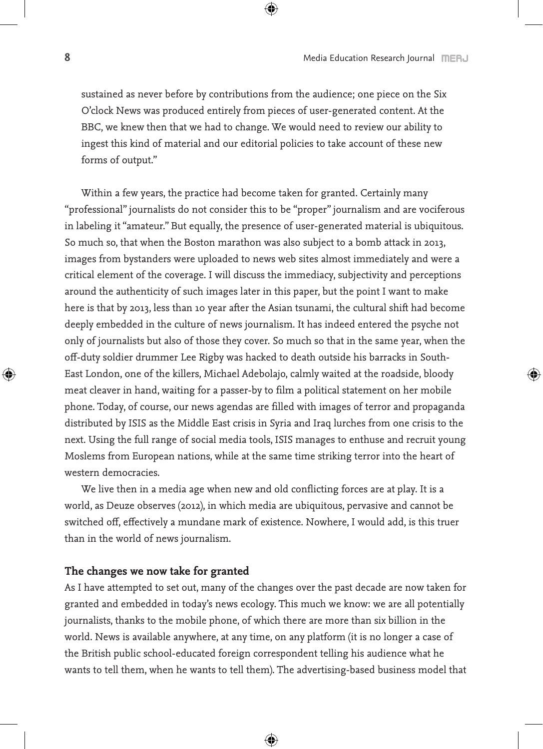sustained as never before by contributions from the audience; one piece on the Six O'clock News was produced entirely from pieces of user-generated content. At the BBC, we knew then that we had to change. We would need to review our ability to ingest this kind of material and our editorial policies to take account of these new forms of output."

Within a few years, the practice had become taken for granted. Certainly many "professional" journalists do not consider this to be "proper" journalism and are vociferous in labeling it "amateur." But equally, the presence of user-generated material is ubiquitous. So much so, that when the Boston marathon was also subject to a bomb attack in 2013, images from bystanders were uploaded to news web sites almost immediately and were a critical element of the coverage. I will discuss the immediacy, subjectivity and perceptions around the authenticity of such images later in this paper, but the point I want to make here is that by 2013, less than 10 year after the Asian tsunami, the cultural shift had become deeply embedded in the culture of news journalism. It has indeed entered the psyche not only of journalists but also of those they cover. So much so that in the same year, when the off-duty soldier drummer Lee Rigby was hacked to death outside his barracks in South-East London, one of the killers, Michael Adebolajo, calmly waited at the roadside, bloody meat cleaver in hand, waiting for a passer-by to film a political statement on her mobile phone. Today, of course, our news agendas are filled with images of terror and propaganda distributed by ISIS as the Middle East crisis in Syria and Iraq lurches from one crisis to the next. Using the full range of social media tools, ISIS manages to enthuse and recruit young Moslems from European nations, while at the same time striking terror into the heart of western democracies.

We live then in a media age when new and old conflicting forces are at play. It is a world, as Deuze observes (2012), in which media are ubiquitous, pervasive and cannot be switched off, effectively a mundane mark of existence. Nowhere, I would add, is this truer than in the world of news journalism.

## **The changes we now take for granted**

As I have attempted to set out, many of the changes over the past decade are now taken for granted and embedded in today's news ecology. This much we know: we are all potentially journalists, thanks to the mobile phone, of which there are more than six billion in the world. News is available anywhere, at any time, on any platform (it is no longer a case of the British public school-educated foreign correspondent telling his audience what he wants to tell them, when he wants to tell them). The advertising-based business model that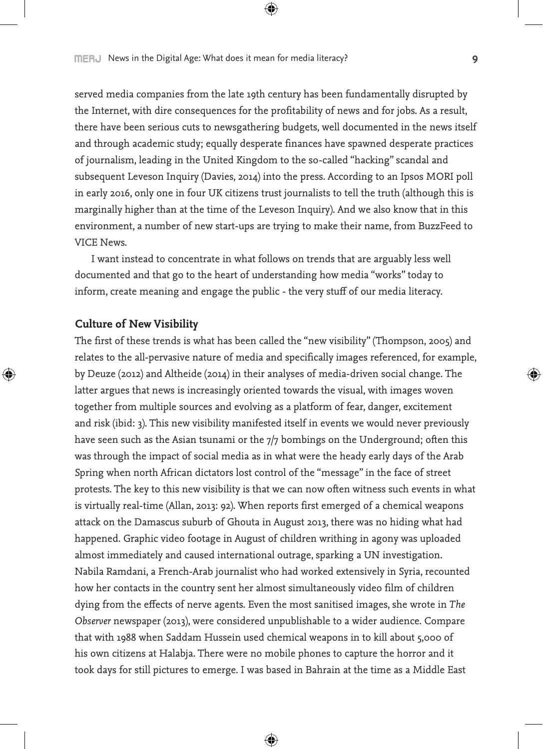served media companies from the late 19th century has been fundamentally disrupted by the Internet, with dire consequences for the profitability of news and for jobs. As a result, there have been serious cuts to newsgathering budgets, well documented in the news itself and through academic study; equally desperate finances have spawned desperate practices of journalism, leading in the United Kingdom to the so-called "hacking" scandal and subsequent Leveson Inquiry (Davies, 2014) into the press. According to an Ipsos MORI poll in early 2016, only one in four UK citizens trust journalists to tell the truth (although this is marginally higher than at the time of the Leveson Inquiry). And we also know that in this environment, a number of new start-ups are trying to make their name, from BuzzFeed to VICE News.

I want instead to concentrate in what follows on trends that are arguably less well documented and that go to the heart of understanding how media "works" today to inform, create meaning and engage the public - the very stuff of our media literacy.

#### **Culture of New Visibility**

The first of these trends is what has been called the "new visibility" (Thompson, 2005) and relates to the all-pervasive nature of media and specifically images referenced, for example, by Deuze (2012) and Altheide (2014) in their analyses of media-driven social change. The latter argues that news is increasingly oriented towards the visual, with images woven together from multiple sources and evolving as a platform of fear, danger, excitement and risk (ibid: 3). This new visibility manifested itself in events we would never previously have seen such as the Asian tsunami or the 7/7 bombings on the Underground; often this was through the impact of social media as in what were the heady early days of the Arab Spring when north African dictators lost control of the "message" in the face of street protests. The key to this new visibility is that we can now often witness such events in what is virtually real-time (Allan, 2013: 92). When reports first emerged of a chemical weapons attack on the Damascus suburb of Ghouta in August 2013, there was no hiding what had happened. Graphic video footage in August of children writhing in agony was uploaded almost immediately and caused international outrage, sparking a UN investigation. Nabila Ramdani, a French-Arab journalist who had worked extensively in Syria, recounted how her contacts in the country sent her almost simultaneously video film of children dying from the effects of nerve agents. Even the most sanitised images, she wrote in *The Observer* newspaper (2013), were considered unpublishable to a wider audience. Compare that with 1988 when Saddam Hussein used chemical weapons in to kill about 5,000 of his own citizens at Halabja. There were no mobile phones to capture the horror and it took days for still pictures to emerge. I was based in Bahrain at the time as a Middle East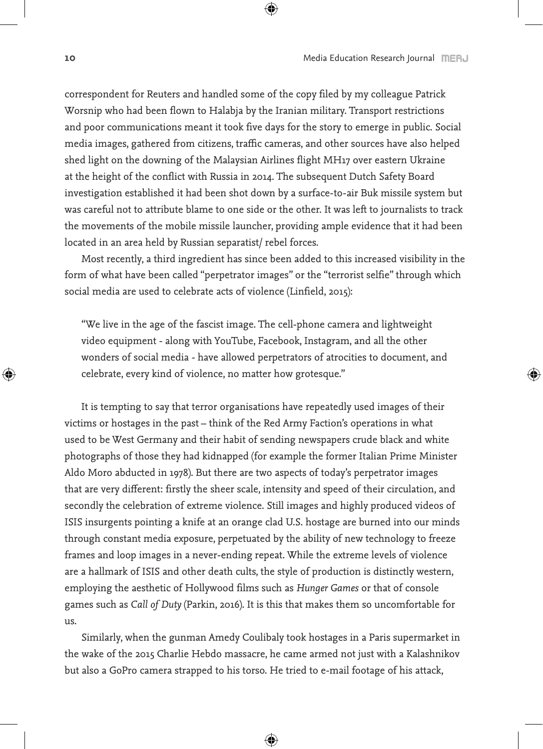correspondent for Reuters and handled some of the copy filed by my colleague Patrick Worsnip who had been flown to Halabja by the Iranian military. Transport restrictions and poor communications meant it took five days for the story to emerge in public. Social media images, gathered from citizens, traffic cameras, and other sources have also helped shed light on the downing of the Malaysian Airlines flight MH17 over eastern Ukraine at the height of the conflict with Russia in 2014. The subsequent Dutch Safety Board investigation established it had been shot down by a surface-to-air Buk missile system but was careful not to attribute blame to one side or the other. It was left to journalists to track the movements of the mobile missile launcher, providing ample evidence that it had been located in an area held by Russian separatist/ rebel forces.

Most recently, a third ingredient has since been added to this increased visibility in the form of what have been called "perpetrator images" or the "terrorist selfie" through which social media are used to celebrate acts of violence (Linfield, 2015):

"We live in the age of the fascist image. The cell-phone camera and lightweight video equipment - along with YouTube, Facebook, Instagram, and all the other wonders of social media - have allowed perpetrators of atrocities to document, and celebrate, every kind of violence, no matter how grotesque."

It is tempting to say that terror organisations have repeatedly used images of their victims or hostages in the past – think of the Red Army Faction's operations in what used to be West Germany and their habit of sending newspapers crude black and white photographs of those they had kidnapped (for example the former Italian Prime Minister Aldo Moro abducted in 1978). But there are two aspects of today's perpetrator images that are very different: firstly the sheer scale, intensity and speed of their circulation, and secondly the celebration of extreme violence. Still images and highly produced videos of ISIS insurgents pointing a knife at an orange clad U.S. hostage are burned into our minds through constant media exposure, perpetuated by the ability of new technology to freeze frames and loop images in a never-ending repeat. While the extreme levels of violence are a hallmark of ISIS and other death cults, the style of production is distinctly western, employing the aesthetic of Hollywood films such as *Hunger Games* or that of console games such as *Call of Duty* (Parkin, 2016). It is this that makes them so uncomfortable for us.

Similarly, when the gunman Amedy Coulibaly took hostages in a Paris supermarket in the wake of the 2015 Charlie Hebdo massacre, he came armed not just with a Kalashnikov but also a GoPro camera strapped to his torso. He tried to e-mail footage of his attack,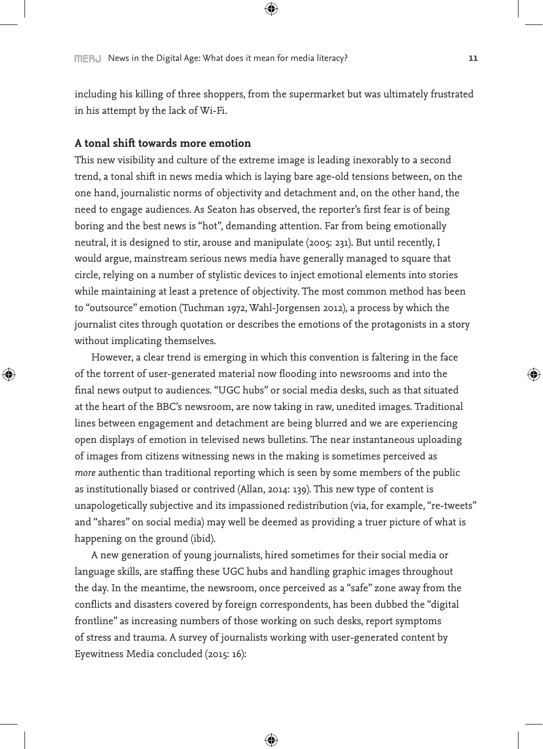including his killing of three shoppers, from the supermarket but was ultimately frustrated in his attempt by the lack of Wi-Fi.

#### **A tonal shift towards more emotion**

This new visibility and culture of the extreme image is leading inexorably to a second trend, a tonal shift in news media which is laying bare age-old tensions between, on the one hand, journalistic norms of objectivity and detachment and, on the other hand, the need to engage audiences. As Seaton has observed, the reporter's first fear is of being boring and the best news is "hot", demanding attention. Far from being emotionally neutral, it is designed to stir, arouse and manipulate (2005: 231). But until recently, I would argue, mainstream serious news media have generally managed to square that circle, relying on a number of stylistic devices to inject emotional elements into stories while maintaining at least a pretence of objectivity. The most common method has been to "outsource" emotion (Tuchman 1972, Wahl-Jorgensen 2012), a process by which the journalist cites through quotation or describes the emotions of the protagonists in a story without implicating themselves.

However, a clear trend is emerging in which this convention is faltering in the face of the torrent of user-generated material now flooding into newsrooms and into the final news output to audiences. "UGC hubs" or social media desks, such as that situated at the heart of the BBC's newsroom, are now taking in raw, unedited images. Traditional lines between engagement and detachment are being blurred and we are experiencing open displays of emotion in televised news bulletins. The near instantaneous uploading of images from citizens witnessing news in the making is sometimes perceived as *more* authentic than traditional reporting which is seen by some members of the public as institutionally biased or contrived (Allan, 2014: 139). This new type of content is unapologetically subjective and its impassioned redistribution (via, for example, "re-tweets" and "shares" on social media) may well be deemed as providing a truer picture of what is happening on the ground (ibid).

A new generation of young journalists, hired sometimes for their social media or language skills, are staffing these UGC hubs and handling graphic images throughout the day. In the meantime, the newsroom, once perceived as a "safe" zone away from the conflicts and disasters covered by foreign correspondents, has been dubbed the "digital frontline" as increasing numbers of those working on such desks, report symptoms of stress and trauma. A survey of journalists working with user-generated content by Eyewitness Media concluded (2015: 16):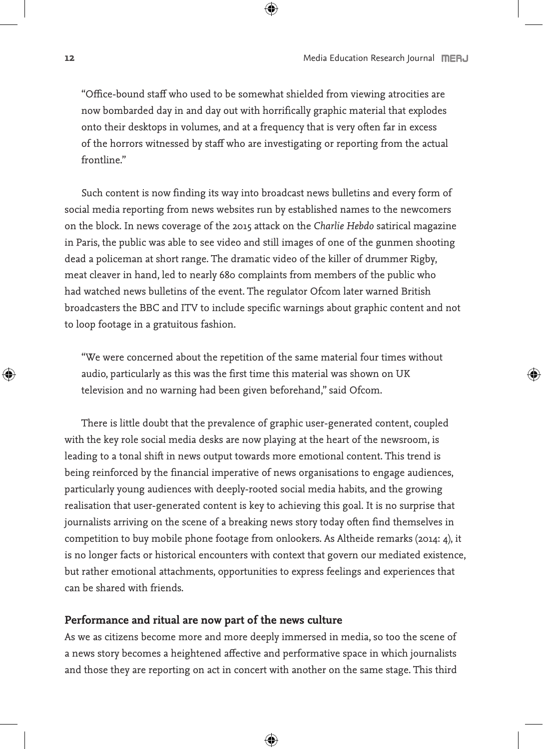"Office-bound staff who used to be somewhat shielded from viewing atrocities are now bombarded day in and day out with horrifically graphic material that explodes onto their desktops in volumes, and at a frequency that is very often far in excess of the horrors witnessed by staff who are investigating or reporting from the actual frontline."

Such content is now finding its way into broadcast news bulletins and every form of social media reporting from news websites run by established names to the newcomers on the block. In news coverage of the 2015 attack on the *Charlie Hebdo* satirical magazine in Paris, the public was able to see video and still images of one of the gunmen shooting dead a policeman at short range. The dramatic video of the killer of drummer Rigby, meat cleaver in hand, led to nearly 680 complaints from members of the public who had watched news bulletins of the event. The regulator Ofcom later warned British broadcasters the BBC and ITV to include specific warnings about graphic content and not to loop footage in a gratuitous fashion.

"We were concerned about the repetition of the same material four times without audio, particularly as this was the first time this material was shown on UK television and no warning had been given beforehand," said Ofcom.

There is little doubt that the prevalence of graphic user-generated content, coupled with the key role social media desks are now playing at the heart of the newsroom, is leading to a tonal shift in news output towards more emotional content. This trend is being reinforced by the financial imperative of news organisations to engage audiences, particularly young audiences with deeply-rooted social media habits, and the growing realisation that user-generated content is key to achieving this goal. It is no surprise that journalists arriving on the scene of a breaking news story today often find themselves in competition to buy mobile phone footage from onlookers. As Altheide remarks (2014: 4), it is no longer facts or historical encounters with context that govern our mediated existence, but rather emotional attachments, opportunities to express feelings and experiences that can be shared with friends.

## **Performance and ritual are now part of the news culture**

As we as citizens become more and more deeply immersed in media, so too the scene of a news story becomes a heightened affective and performative space in which journalists and those they are reporting on act in concert with another on the same stage. This third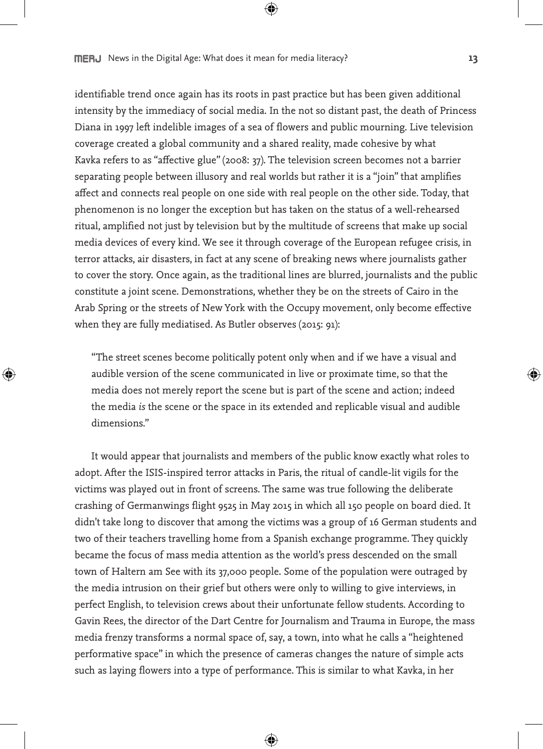identifiable trend once again has its roots in past practice but has been given additional intensity by the immediacy of social media. In the not so distant past, the death of Princess Diana in 1997 left indelible images of a sea of flowers and public mourning. Live television coverage created a global community and a shared reality, made cohesive by what Kavka refers to as "affective glue" (2008: 37). The television screen becomes not a barrier separating people between illusory and real worlds but rather it is a "join" that amplifies affect and connects real people on one side with real people on the other side. Today, that phenomenon is no longer the exception but has taken on the status of a well-rehearsed ritual, amplified not just by television but by the multitude of screens that make up social media devices of every kind. We see it through coverage of the European refugee crisis, in terror attacks, air disasters, in fact at any scene of breaking news where journalists gather to cover the story. Once again, as the traditional lines are blurred, journalists and the public constitute a joint scene. Demonstrations, whether they be on the streets of Cairo in the Arab Spring or the streets of New York with the Occupy movement, only become effective when they are fully mediatised. As Butler observes (2015: 91):

"The street scenes become politically potent only when and if we have a visual and audible version of the scene communicated in live or proximate time, so that the media does not merely report the scene but is part of the scene and action; indeed the media *is* the scene or the space in its extended and replicable visual and audible dimensions."

It would appear that journalists and members of the public know exactly what roles to adopt. After the ISIS-inspired terror attacks in Paris, the ritual of candle-lit vigils for the victims was played out in front of screens. The same was true following the deliberate crashing of Germanwings flight 9525 in May 2015 in which all 150 people on board died. It didn't take long to discover that among the victims was a group of 16 German students and two of their teachers travelling home from a Spanish exchange programme. They quickly became the focus of mass media attention as the world's press descended on the small town of Haltern am See with its 37,000 people. Some of the population were outraged by the media intrusion on their grief but others were only to willing to give interviews, in perfect English, to television crews about their unfortunate fellow students. According to Gavin Rees, the director of the Dart Centre for Journalism and Trauma in Europe, the mass media frenzy transforms a normal space of, say, a town, into what he calls a "heightened performative space" in which the presence of cameras changes the nature of simple acts such as laying flowers into a type of performance. This is similar to what Kavka, in her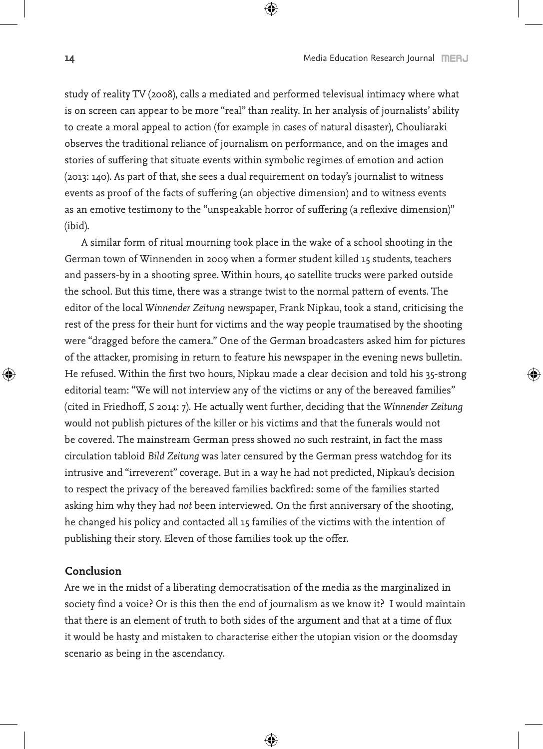study of reality TV (2008), calls a mediated and performed televisual intimacy where what is on screen can appear to be more "real" than reality. In her analysis of journalists' ability to create a moral appeal to action (for example in cases of natural disaster), Chouliaraki observes the traditional reliance of journalism on performance, and on the images and stories of suffering that situate events within symbolic regimes of emotion and action (2013: 140). As part of that, she sees a dual requirement on today's journalist to witness events as proof of the facts of suffering (an objective dimension) and to witness events as an emotive testimony to the "unspeakable horror of suffering (a reflexive dimension)" (ibid).

A similar form of ritual mourning took place in the wake of a school shooting in the German town of Winnenden in 2009 when a former student killed 15 students, teachers and passers-by in a shooting spree. Within hours, 40 satellite trucks were parked outside the school. But this time, there was a strange twist to the normal pattern of events. The editor of the local *Winnender Zeitung* newspaper, Frank Nipkau, took a stand, criticising the rest of the press for their hunt for victims and the way people traumatised by the shooting were "dragged before the camera." One of the German broadcasters asked him for pictures of the attacker, promising in return to feature his newspaper in the evening news bulletin. He refused. Within the first two hours, Nipkau made a clear decision and told his 35-strong editorial team: "We will not interview any of the victims or any of the bereaved families" (cited in Friedhoff, S 2014: 7). He actually went further, deciding that the *Winnender Zeitung* would not publish pictures of the killer or his victims and that the funerals would not be covered. The mainstream German press showed no such restraint, in fact the mass circulation tabloid *Bild Zeitung* was later censured by the German press watchdog for its intrusive and "irreverent" coverage. But in a way he had not predicted, Nipkau's decision to respect the privacy of the bereaved families backfired: some of the families started asking him why they had *not* been interviewed. On the first anniversary of the shooting, he changed his policy and contacted all 15 families of the victims with the intention of publishing their story. Eleven of those families took up the offer.

#### **Conclusion**

Are we in the midst of a liberating democratisation of the media as the marginalized in society find a voice? Or is this then the end of journalism as we know it? I would maintain that there is an element of truth to both sides of the argument and that at a time of flux it would be hasty and mistaken to characterise either the utopian vision or the doomsday scenario as being in the ascendancy.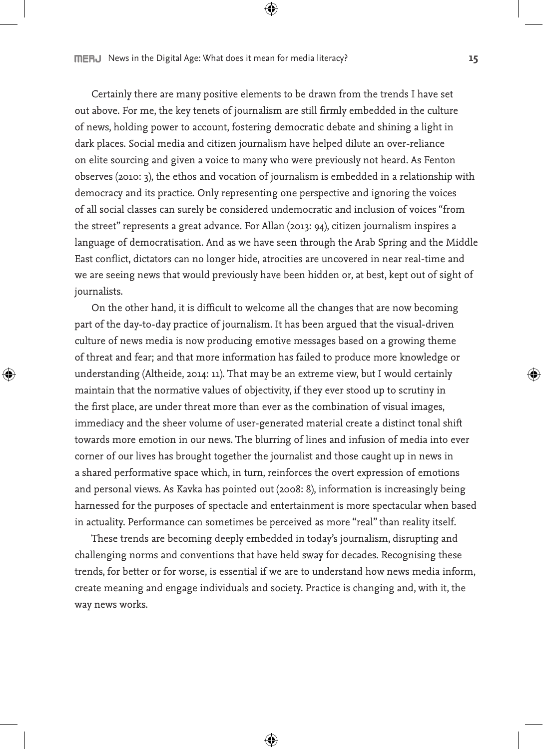Certainly there are many positive elements to be drawn from the trends I have set out above. For me, the key tenets of journalism are still firmly embedded in the culture of news, holding power to account, fostering democratic debate and shining a light in dark places. Social media and citizen journalism have helped dilute an over-reliance on elite sourcing and given a voice to many who were previously not heard. As Fenton observes (2010: 3), the ethos and vocation of journalism is embedded in a relationship with democracy and its practice. Only representing one perspective and ignoring the voices of all social classes can surely be considered undemocratic and inclusion of voices "from the street" represents a great advance. For Allan (2013: 94), citizen journalism inspires a language of democratisation. And as we have seen through the Arab Spring and the Middle East conflict, dictators can no longer hide, atrocities are uncovered in near real-time and we are seeing news that would previously have been hidden or, at best, kept out of sight of journalists.

On the other hand, it is difficult to welcome all the changes that are now becoming part of the day-to-day practice of journalism. It has been argued that the visual-driven culture of news media is now producing emotive messages based on a growing theme of threat and fear; and that more information has failed to produce more knowledge or understanding (Altheide, 2014: 11). That may be an extreme view, but I would certainly maintain that the normative values of objectivity, if they ever stood up to scrutiny in the first place, are under threat more than ever as the combination of visual images, immediacy and the sheer volume of user-generated material create a distinct tonal shift towards more emotion in our news. The blurring of lines and infusion of media into ever corner of our lives has brought together the journalist and those caught up in news in a shared performative space which, in turn, reinforces the overt expression of emotions and personal views. As Kavka has pointed out (2008: 8), information is increasingly being harnessed for the purposes of spectacle and entertainment is more spectacular when based in actuality. Performance can sometimes be perceived as more "real" than reality itself.

These trends are becoming deeply embedded in today's journalism, disrupting and challenging norms and conventions that have held sway for decades. Recognising these trends, for better or for worse, is essential if we are to understand how news media inform, create meaning and engage individuals and society. Practice is changing and, with it, the way news works.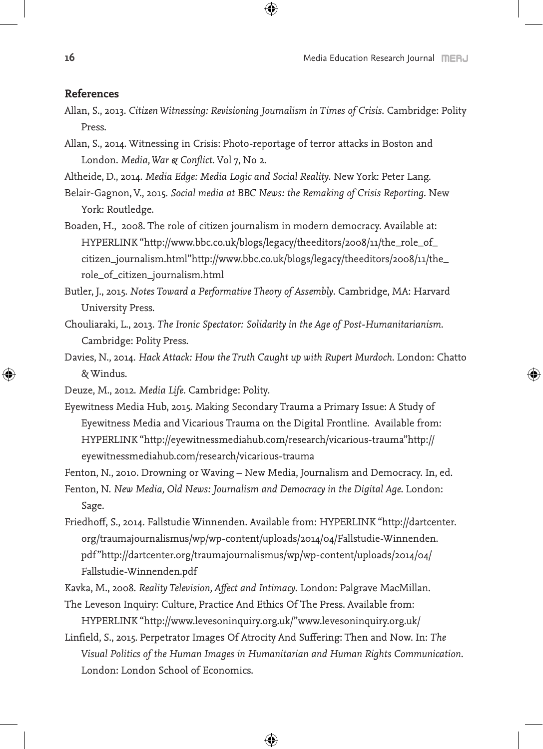#### **References**

- Allan, S., 2013. *Citizen Witnessing: Revisioning Journalism in Times of Crisis*. Cambridge: Polity Press.
- Allan, S., 2014. Witnessing in Crisis: Photo-reportage of terror attacks in Boston and London. *Media, War & Conflict*. Vol 7, No 2.
- Altheide, D., 2014. *Media Edge: Media Logic and Social Reality*. New York: Peter Lang.
- Belair-Gagnon, V., 2015. *Social media at BBC News: the Remaking of Crisis Reporting*. New York: Routledge.
- Boaden, H., 2008. The role of citizen journalism in modern democracy. Available at: HYPERLINK "http://www.bbc.co.uk/blogs/legacy/theeditors/2008/11/the\_role\_of\_ citizen\_journalism.html"http://www.bbc.co.uk/blogs/legacy/theeditors/2008/11/the\_ role\_of\_citizen\_journalism.html
- Butler, J., 2015. *Notes Toward a Performative Theory of Assembly*. Cambridge, MA: Harvard University Press.
- Chouliaraki, L., 2013. *The Ironic Spectator: Solidarity in the Age of Post-Humanitarianism*. Cambridge: Polity Press.
- Davies, N., 2014. *Hack Attack: How the Truth Caught up with Rupert Murdoch*. London: Chatto & Windus.
- Deuze, M., 2012. *Media Life*. Cambridge: Polity.
- Eyewitness Media Hub, 2015. Making Secondary Trauma a Primary Issue: A Study of Eyewitness Media and Vicarious Trauma on the Digital Frontline. Available from: HYPERLINK "http://eyewitnessmediahub.com/research/vicarious-trauma"http:// eyewitnessmediahub.com/research/vicarious-trauma

Fenton, N., 2010. Drowning or Waving – New Media, Journalism and Democracy. In, ed.

- Fenton, N. *New Media, Old News: Journalism and Democracy in the Digital Age*. London: Sage.
- Friedhoff, S., 2014. Fallstudie Winnenden. Available from: HYPERLINK "http://dartcenter. org/traumajournalismus/wp/wp-content/uploads/2014/04/Fallstudie-Winnenden. pdf"http://dartcenter.org/traumajournalismus/wp/wp-content/uploads/2014/04/ Fallstudie-Winnenden.pdf

Kavka, M., 2008. *Reality Television, Affect and Intimacy*. London: Palgrave MacMillan.

- The Leveson Inquiry: Culture, Practice And Ethics Of The Press. Available from: HYPERLINK "http://www.levesoninquiry.org.uk/"www.levesoninquiry.org.uk/
- Linfield, S., 2015. Perpetrator Images Of Atrocity And Suffering: Then and Now. In: *The Visual Politics of the Human Images in Humanitarian and Human Rights Communication*. London: London School of Economics.